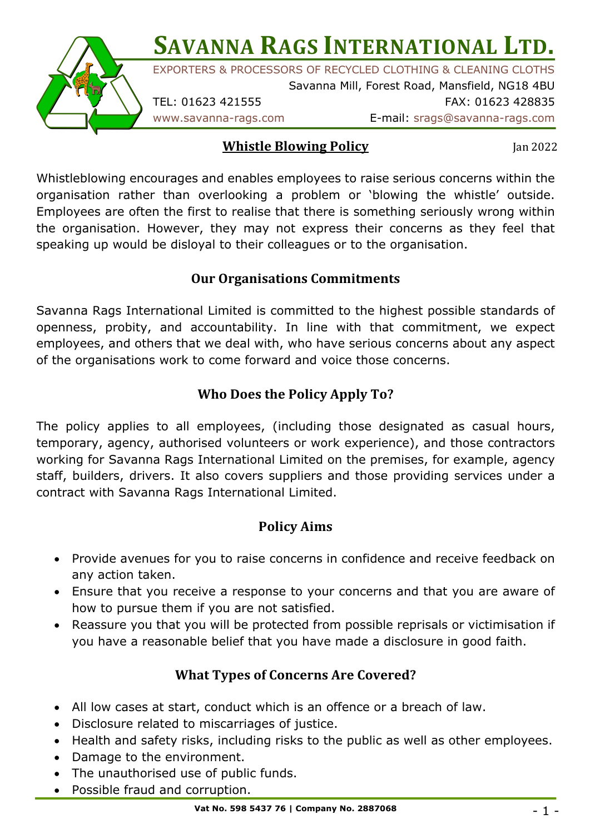**SAVANNA RAGS INTERNATIONAL LTD.** EXPORTERS & PROCESSORS OF RECYCLED CLOTHING & CLEANING CLOTHS Savanna Mill, Forest Road, Mansfield, NG18 4BU



TEL: 01623 421555 FAX: 01623 428835

www.savanna-rags.com E-mail: srags@savanna-rags.com

### **Whistle Blowing Policy**

Jan 2022

Whistleblowing encourages and enables employees to raise serious concerns within the organisation rather than overlooking a problem or 'blowing the whistle' outside. Employees are often the first to realise that there is something seriously wrong within the organisation. However, they may not express their concerns as they feel that speaking up would be disloyal to their colleagues or to the organisation.

## **Our Organisations Commitments**

Savanna Rags International Limited is committed to the highest possible standards of openness, probity, and accountability. In line with that commitment, we expect employees, and others that we deal with, who have serious concerns about any aspect of the organisations work to come forward and voice those concerns.

# **Who Does the Policy Apply To?**

The policy applies to all employees, (including those designated as casual hours, temporary, agency, authorised volunteers or work experience), and those contractors working for Savanna Rags International Limited on the premises, for example, agency staff, builders, drivers. It also covers suppliers and those providing services under a contract with Savanna Rags International Limited.

## **Policy Aims**

- Provide avenues for you to raise concerns in confidence and receive feedback on any action taken.
- Ensure that you receive a response to your concerns and that you are aware of how to pursue them if you are not satisfied.
- Reassure you that you will be protected from possible reprisals or victimisation if you have a reasonable belief that you have made a disclosure in good faith.

## **What Types of Concerns Are Covered?**

- All low cases at start, conduct which is an offence or a breach of law.
- Disclosure related to miscarriages of justice.
- Health and safety risks, including risks to the public as well as other employees.
- Damage to the environment.
- The unauthorised use of public funds.
- Possible fraud and corruption.